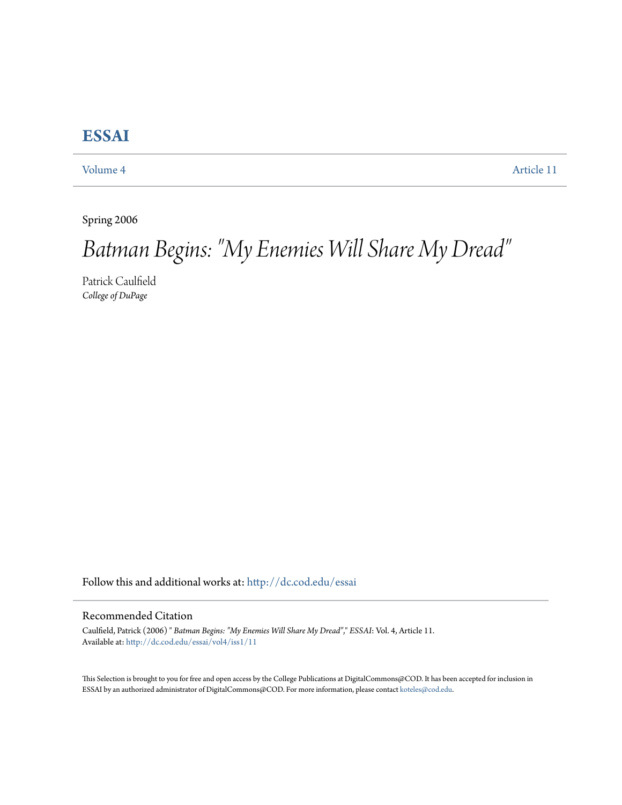# **[ESSAI](http://dc.cod.edu/essai?utm_source=dc.cod.edu%2Fessai%2Fvol4%2Fiss1%2F11&utm_medium=PDF&utm_campaign=PDFCoverPages)**

[Volume 4](http://dc.cod.edu/essai/vol4?utm_source=dc.cod.edu%2Fessai%2Fvol4%2Fiss1%2F11&utm_medium=PDF&utm_campaign=PDFCoverPages) [Article 11](http://dc.cod.edu/essai/vol4/iss1/11?utm_source=dc.cod.edu%2Fessai%2Fvol4%2Fiss1%2F11&utm_medium=PDF&utm_campaign=PDFCoverPages)

Spring 2006

# *Batman Begins: "My Enemies Will Share My Dread"*

Patrick Caulfield *College of DuPage*

Follow this and additional works at: [http://dc.cod.edu/essai](http://dc.cod.edu/essai?utm_source=dc.cod.edu%2Fessai%2Fvol4%2Fiss1%2F11&utm_medium=PDF&utm_campaign=PDFCoverPages)

#### Recommended Citation

Caulfield, Patrick (2006) " *Batman Begins: "My Enemies Will Share My Dread"*," *ESSAI*: Vol. 4, Article 11. Available at: [http://dc.cod.edu/essai/vol4/iss1/11](http://dc.cod.edu/essai/vol4/iss1/11?utm_source=dc.cod.edu%2Fessai%2Fvol4%2Fiss1%2F11&utm_medium=PDF&utm_campaign=PDFCoverPages)

This Selection is brought to you for free and open access by the College Publications at DigitalCommons@COD. It has been accepted for inclusion in ESSAI by an authorized administrator of DigitalCommons@COD. For more information, please contact [koteles@cod.edu](mailto:koteles@cod.edu).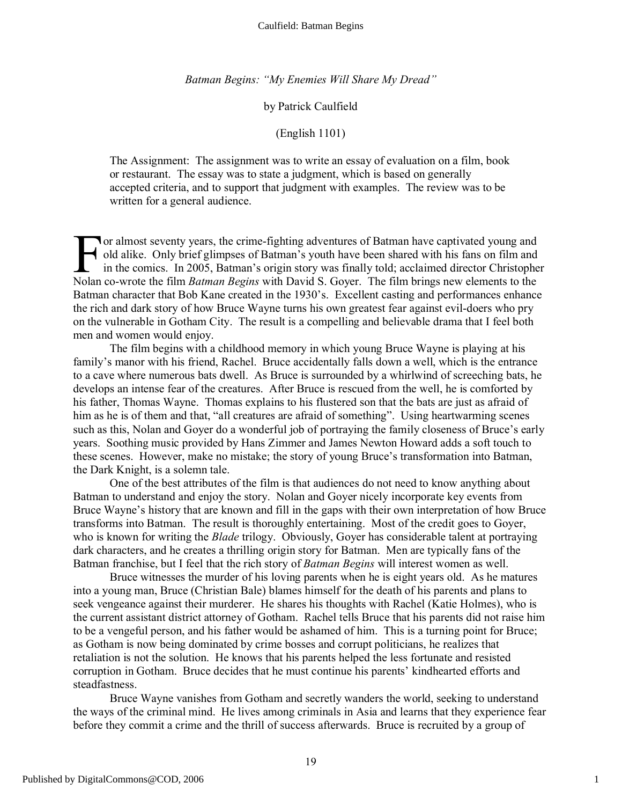*Batman Begins: "My Enemies Will Share My Dread"*

## by Patrick Caulfield

### (English 1101)

The Assignment: The assignment was to write an essay of evaluation on a film, book or restaurant. The essay was to state a judgment, which is based on generally accepted criteria, and to support that judgment with examples. The review was to be written for a general audience.

**T** or almost seventy years, the crime-fighting adventures of Batman have captivated young and old alike. Only brief glimpses of Batman's youth have been shared with his fans on film and in the comics. In 2005, Batman's origin story was finally told; acclaimed director Christopher The film part of Batman and and alike. Only brief glimpses of Batman's youth have been shared with his fans on film and in the comics. In 2005, Batman's origin story was finally told; acclaimed director Christophe Nolan co Batman character that Bob Kane created in the 1930's. Excellent casting and performances enhance the rich and dark story of how Bruce Wayne turns his own greatest fear against evil-doers who pry on the vulnerable in Gotham City. The result is a compelling and believable drama that I feel both men and women would enjoy.

The film begins with a childhood memory in which young Bruce Wayne is playing at his family's manor with his friend, Rachel. Bruce accidentally falls down a well, which is the entrance to a cave where numerous bats dwell. As Bruce is surrounded by a whirlwind of screeching bats, he develops an intense fear of the creatures. After Bruce is rescued from the well, he is comforted by his father, Thomas Wayne. Thomas explains to his flustered son that the bats are just as afraid of him as he is of them and that, "all creatures are afraid of something". Using heartwarming scenes such as this, Nolan and Goyer do a wonderful job of portraying the family closeness of Bruce's early years. Soothing music provided by Hans Zimmer and James Newton Howard adds a soft touch to these scenes. However, make no mistake; the story of young Bruce's transformation into Batman, the Dark Knight, is a solemn tale.

One of the best attributes of the film is that audiences do not need to know anything about Batman to understand and enjoy the story. Nolan and Goyer nicely incorporate key events from Bruce Wayne's history that are known and fill in the gaps with their own interpretation of how Bruce transforms into Batman. The result is thoroughly entertaining. Most of the credit goes to Goyer, who is known for writing the *Blade* trilogy. Obviously, Goyer has considerable talent at portraying dark characters, and he creates a thrilling origin story for Batman. Men are typically fans of the Batman franchise, but I feel that the rich story of *Batman Begins* will interest women as well.

Bruce witnesses the murder of his loving parents when he is eight years old. As he matures into a young man, Bruce (Christian Bale) blames himself for the death of his parents and plans to seek vengeance against their murderer. He shares his thoughts with Rachel (Katie Holmes), who is the current assistant district attorney of Gotham. Rachel tells Bruce that his parents did not raise him to be a vengeful person, and his father would be ashamed of him. This is a turning point for Bruce; as Gotham is now being dominated by crime bosses and corrupt politicians, he realizes that retaliation is not the solution. He knows that his parents helped the less fortunate and resisted corruption in Gotham. Bruce decides that he must continue his parents' kindhearted efforts and steadfastness.

Bruce Wayne vanishes from Gotham and secretly wanders the world, seeking to understand the ways of the criminal mind. He lives among criminals in Asia and learns that they experience fear before they commit a crime and the thrill of success afterwards. Bruce is recruited by a group of

1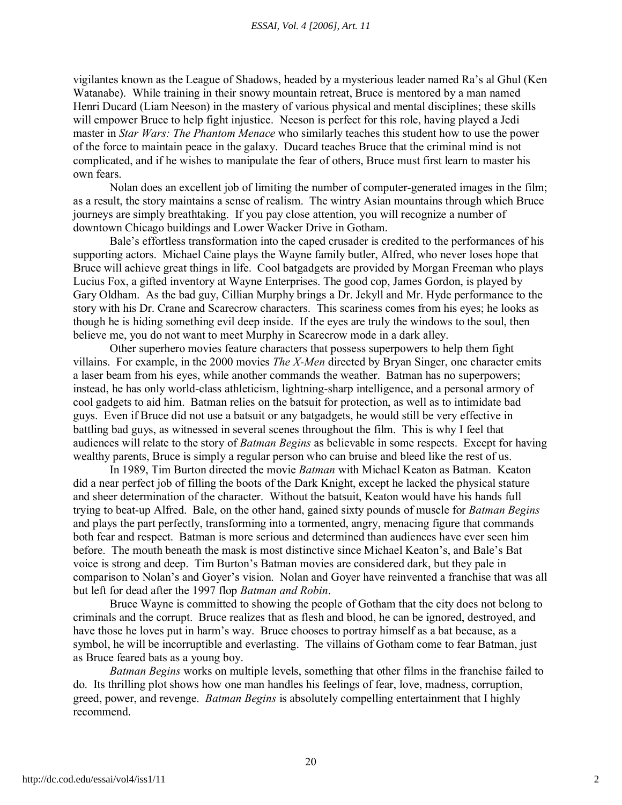vigilantes known as the League of Shadows, headed by a mysterious leader named Ra's al Ghul (Ken Watanabe). While training in their snowy mountain retreat, Bruce is mentored by a man named Henri Ducard (Liam Neeson) in the mastery of various physical and mental disciplines; these skills will empower Bruce to help fight injustice. Neeson is perfect for this role, having played a Jedi master in *Star Wars: The Phantom Menace* who similarly teaches this student how to use the power of the force to maintain peace in the galaxy. Ducard teaches Bruce that the criminal mind is not complicated, and if he wishes to manipulate the fear of others, Bruce must first learn to master his own fears.

Nolan does an excellent job of limiting the number of computer-generated images in the film; as a result, the story maintains a sense of realism. The wintry Asian mountains through which Bruce journeys are simply breathtaking. If you pay close attention, you will recognize a number of downtown Chicago buildings and Lower Wacker Drive in Gotham.

Bale's effortless transformation into the caped crusader is credited to the performances of his supporting actors. Michael Caine plays the Wayne family butler, Alfred, who never loses hope that Bruce will achieve great things in life. Cool batgadgets are provided by Morgan Freeman who plays Lucius Fox, a gifted inventory at Wayne Enterprises. The good cop, James Gordon, is played by Gary Oldham. As the bad guy, Cillian Murphy brings a Dr. Jekyll and Mr. Hyde performance to the story with his Dr. Crane and Scarecrow characters. This scariness comes from his eyes; he looks as though he is hiding something evil deep inside. If the eyes are truly the windows to the soul, then believe me, you do not want to meet Murphy in Scarecrow mode in a dark alley.

Other superhero movies feature characters that possess superpowers to help them fight villains. For example, in the 2000 movies *The X-Men* directed by Bryan Singer, one character emits a laser beam from his eyes, while another commands the weather. Batman has no superpowers; instead, he has only world-class athleticism, lightning-sharp intelligence, and a personal armory of cool gadgets to aid him. Batman relies on the batsuit for protection, as well as to intimidate bad guys. Even if Bruce did not use a batsuit or any batgadgets, he would still be very effective in battling bad guys, as witnessed in several scenes throughout the film. This is why I feel that audiences will relate to the story of *Batman Begins* as believable in some respects. Except for having wealthy parents, Bruce is simply a regular person who can bruise and bleed like the rest of us.

In 1989, Tim Burton directed the movie *Batman* with Michael Keaton as Batman. Keaton did a near perfect job of filling the boots of the Dark Knight, except he lacked the physical stature and sheer determination of the character. Without the batsuit, Keaton would have his hands full trying to beat-up Alfred. Bale, on the other hand, gained sixty pounds of muscle for *Batman Begins* and plays the part perfectly, transforming into a tormented, angry, menacing figure that commands both fear and respect. Batman is more serious and determined than audiences have ever seen him before. The mouth beneath the mask is most distinctive since Michael Keaton's, and Bale's Bat voice is strong and deep. Tim Burton's Batman movies are considered dark, but they pale in comparison to Nolan's and Goyer's vision. Nolan and Goyer have reinvented a franchise that was all but left for dead after the 1997 flop *Batman and Robin*.

Bruce Wayne is committed to showing the people of Gotham that the city does not belong to criminals and the corrupt. Bruce realizes that as flesh and blood, he can be ignored, destroyed, and have those he loves put in harm's way. Bruce chooses to portray himself as a bat because, as a symbol, he will be incorruptible and everlasting. The villains of Gotham come to fear Batman, just as Bruce feared bats as a young boy.

*Batman Begins* works on multiple levels, something that other films in the franchise failed to do. Its thrilling plot shows how one man handles his feelings of fear, love, madness, corruption, greed, power, and revenge. *Batman Begins* is absolutely compelling entertainment that I highly recommend.